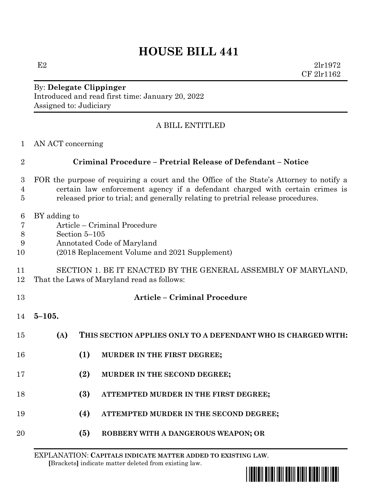## **HOUSE BILL 441**

E2  $2\ln 1972$ CF 2lr1162

By: **Delegate Clippinger** Introduced and read first time: January 20, 2022 Assigned to: Judiciary

## A BILL ENTITLED

| $\therefore$ AN ACT concerning |
|--------------------------------|
|                                |

| $\overline{2}$                          | Criminal Procedure - Pretrial Release of Defendant - Notice                                                                                                                                                                                                |     |                                                               |  |
|-----------------------------------------|------------------------------------------------------------------------------------------------------------------------------------------------------------------------------------------------------------------------------------------------------------|-----|---------------------------------------------------------------|--|
| $\boldsymbol{3}$<br>4<br>$\overline{5}$ | FOR the purpose of requiring a court and the Office of the State's Attorney to notify a<br>certain law enforcement agency if a defendant charged with certain crimes is<br>released prior to trial; and generally relating to pretrial release procedures. |     |                                                               |  |
| 6<br>$\overline{7}$<br>$8\,$<br>9<br>10 | BY adding to<br>Article – Criminal Procedure<br>Section 5-105<br>Annotated Code of Maryland<br>(2018 Replacement Volume and 2021 Supplement)                                                                                                               |     |                                                               |  |
| 11<br>12                                | SECTION 1. BE IT ENACTED BY THE GENERAL ASSEMBLY OF MARYLAND,<br>That the Laws of Maryland read as follows:                                                                                                                                                |     |                                                               |  |
| 13                                      |                                                                                                                                                                                                                                                            |     | <b>Article - Criminal Procedure</b>                           |  |
| 14                                      | $5 - 105.$                                                                                                                                                                                                                                                 |     |                                                               |  |
| 15                                      | (A)                                                                                                                                                                                                                                                        |     | THIS SECTION APPLIES ONLY TO A DEFENDANT WHO IS CHARGED WITH: |  |
| 16                                      |                                                                                                                                                                                                                                                            | (1) | MURDER IN THE FIRST DEGREE;                                   |  |
| 17                                      |                                                                                                                                                                                                                                                            | (2) | MURDER IN THE SECOND DEGREE;                                  |  |
| 18                                      |                                                                                                                                                                                                                                                            | (3) | ATTEMPTED MURDER IN THE FIRST DEGREE;                         |  |
| 19                                      |                                                                                                                                                                                                                                                            | (4) | ATTEMPTED MURDER IN THE SECOND DEGREE;                        |  |
| 20                                      |                                                                                                                                                                                                                                                            | (5) | ROBBERY WITH A DANGEROUS WEAPON; OR                           |  |

EXPLANATION: **CAPITALS INDICATE MATTER ADDED TO EXISTING LAW**.  **[**Brackets**]** indicate matter deleted from existing law.